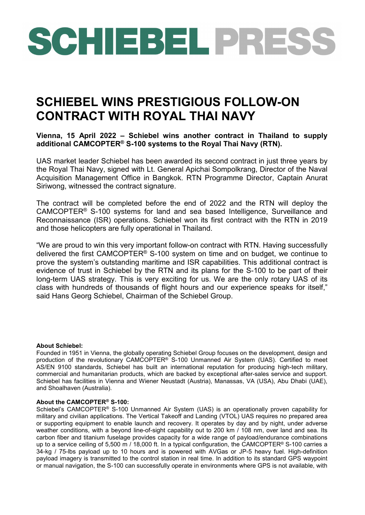## SCHIEBEL PRESS

## **SCHIEBEL WINS PRESTIGIOUS FOLLOW-ON CONTRACT WITH ROYAL THAI NAVY**

**Vienna, 15 April 2022 – Schiebel wins another contract in Thailand to supply additional CAMCOPTER® S-100 systems to the Royal Thai Navy (RTN).**

UAS market leader Schiebel has been awarded its second contract in just three years by the Royal Thai Navy, signed with Lt. General Apichai Sompolkrang, Director of the Naval Acquisition Management Office in Bangkok. RTN Programme Director, Captain Anurat Siriwong, witnessed the contract signature.

The contract will be completed before the end of 2022 and the RTN will deploy the CAMCOPTER® S-100 systems for land and sea based Intelligence, Surveillance and Reconnaissance (ISR) operations. Schiebel won its first contract with the RTN in 2019 and those helicopters are fully operational in Thailand.

"We are proud to win this very important follow-on contract with RTN. Having successfully delivered the first CAMCOPTER® S-100 system on time and on budget, we continue to prove the system's outstanding maritime and ISR capabilities. This additional contract is evidence of trust in Schiebel by the RTN and its plans for the S-100 to be part of their long-term UAS strategy. This is very exciting for us. We are the only rotary UAS of its class with hundreds of thousands of flight hours and our experience speaks for itself," said Hans Georg Schiebel, Chairman of the Schiebel Group.

## **About Schiebel:**

Founded in 1951 in Vienna, the globally operating Schiebel Group focuses on the development, design and production of the revolutionary CAMCOPTER® S-100 Unmanned Air System (UAS). Certified to meet AS/EN 9100 standards, Schiebel has built an international reputation for producing high-tech military, commercial and humanitarian products, which are backed by exceptional after-sales service and support. Schiebel has facilities in Vienna and Wiener Neustadt (Austria), Manassas, VA (USA), Abu Dhabi (UAE), and Shoalhaven (Australia).

## **About the CAMCOPTER® S-100:**

Schiebel's CAMCOPTER® S-100 Unmanned Air System (UAS) is an operationally proven capability for military and civilian applications. The Vertical Takeoff and Landing (VTOL) UAS requires no prepared area or supporting equipment to enable launch and recovery. It operates by day and by night, under adverse weather conditions, with a beyond line-of-sight capability out to 200 km / 108 nm, over land and sea. Its carbon fiber and titanium fuselage provides capacity for a wide range of payload/endurance combinations up to a service ceiling of 5,500 m / 18,000 ft. In a typical configuration, the CAMCOPTER® S-100 carries a 34-kg / 75-lbs payload up to 10 hours and is powered with AVGas or JP-5 heavy fuel. High-definition payload imagery is transmitted to the control station in real time. In addition to its standard GPS waypoint or manual navigation, the S-100 can successfully operate in environments where GPS is not available, with